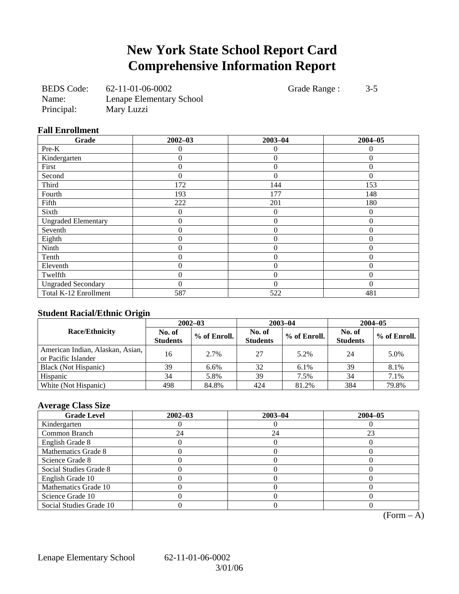# **New York State School Report Card Comprehensive Information Report**

| <b>BEDS</b> Code: | 62-11-01-06-0002         |
|-------------------|--------------------------|
| Name:             | Lenape Elementary School |
| Principal:        | Mary Luzzi               |

Grade Range : 3-5

## **Fall Enrollment**

| Grade                      | $2002 - 03$    | $2003 - 04$    | $2004 - 05$ |
|----------------------------|----------------|----------------|-------------|
| Pre-K                      | 0              | 0              | 0           |
| Kindergarten               | 0              | $\overline{0}$ | $\Omega$    |
| First                      | 0              | $\theta$       | $\Omega$    |
| Second                     | $\overline{0}$ | $\theta$       | $\Omega$    |
| Third                      | 172            | 144            | 153         |
| Fourth                     | 193            | 177            | 148         |
| Fifth                      | 222            | 201            | 180         |
| Sixth                      | $\theta$       | $\theta$       | $\Omega$    |
| <b>Ungraded Elementary</b> | 0              | $\overline{0}$ | $\theta$    |
| Seventh                    | 0              | $\Omega$       | $\Omega$    |
| Eighth                     | 0              | $\overline{0}$ | $\Omega$    |
| Ninth                      | 0              | $\overline{0}$ | $\Omega$    |
| Tenth                      | $\theta$       | $\theta$       | $\Omega$    |
| Eleventh                   | 0              | $\theta$       | $\Omega$    |
| Twelfth                    | 0              | $\overline{0}$ | $\Omega$    |
| <b>Ungraded Secondary</b>  | 0              | $\Omega$       | $\Omega$    |
| Total K-12 Enrollment      | 587            | 522            | 481         |

#### **Student Racial/Ethnic Origin**

| ້                                                       | $2002 - 03$               |              |                           | $2003 - 04$  | $2004 - 05$               |              |
|---------------------------------------------------------|---------------------------|--------------|---------------------------|--------------|---------------------------|--------------|
| <b>Race/Ethnicity</b>                                   | No. of<br><b>Students</b> | % of Enroll. | No. of<br><b>Students</b> | % of Enroll. | No. of<br><b>Students</b> | % of Enroll. |
| American Indian, Alaskan, Asian,<br>or Pacific Islander | 16                        | 2.7%         | 27                        | 5.2%         | 24                        | 5.0%         |
| Black (Not Hispanic)                                    | 39                        | 6.6%         | 32                        | $6.1\%$      | 39                        | 8.1%         |
| Hispanic                                                | 34                        | 5.8%         | 39                        | 7.5%         | 34                        | 7.1%         |
| White (Not Hispanic)                                    | 498                       | 84.8%        | 424                       | 81.2%        | 384                       | 79.8%        |

# **Average Class Size**

| <b>Grade Level</b>      | $2002 - 03$ | $2003 - 04$ | $2004 - 05$ |
|-------------------------|-------------|-------------|-------------|
| Kindergarten            |             |             |             |
| Common Branch           | 24          | 24          | 23          |
| English Grade 8         |             |             |             |
| Mathematics Grade 8     |             |             |             |
| Science Grade 8         |             |             |             |
| Social Studies Grade 8  |             |             |             |
| English Grade 10        |             |             |             |
| Mathematics Grade 10    |             |             |             |
| Science Grade 10        |             |             |             |
| Social Studies Grade 10 |             |             |             |

 $(Form - A)$ 

Lenape Elementary School 62-11-01-06-0002

3/01/06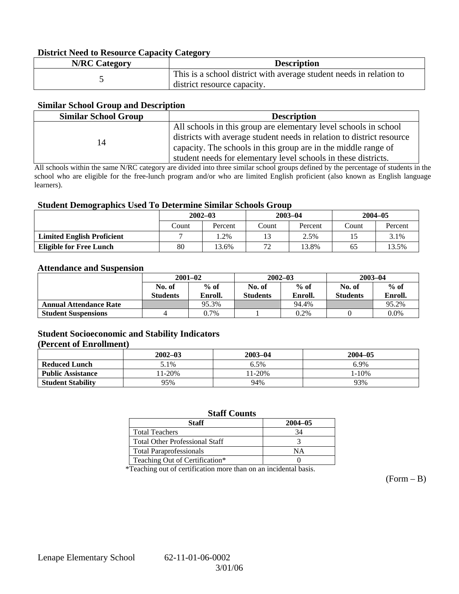## **District Need to Resource Capacity Category**

| <b>N/RC Category</b> | <b>Description</b>                                                                                 |
|----------------------|----------------------------------------------------------------------------------------------------|
|                      | This is a school district with average student needs in relation to<br>district resource capacity. |

## **Similar School Group and Description**

| <b>Similar School Group</b><br><b>Description</b> |                                                                                                                                                                                                                                                                               |
|---------------------------------------------------|-------------------------------------------------------------------------------------------------------------------------------------------------------------------------------------------------------------------------------------------------------------------------------|
| 14                                                | All schools in this group are elementary level schools in school<br>districts with average student needs in relation to district resource<br>capacity. The schools in this group are in the middle range of<br>student needs for elementary level schools in these districts. |

All schools within the same N/RC category are divided into three similar school groups defined by the percentage of students in the school who are eligible for the free-lunch program and/or who are limited English proficient (also known as English language learners).

## **Student Demographics Used To Determine Similar Schools Group**

| ີ                                 |             |         |             |         |             |         |
|-----------------------------------|-------------|---------|-------------|---------|-------------|---------|
|                                   | $2002 - 03$ |         | $2003 - 04$ |         | $2004 - 05$ |         |
|                                   | Count       | Percent | Count       | Percent | Count       | Percent |
| <b>Limited English Proficient</b> |             | . .2%   | 13          | 2.5%    | 15          | 3.1%    |
| <b>Eligible for Free Lunch</b>    | 80          | 3.6%    | 72          | 13.8%   | 65          | 13.5%   |

#### **Attendance and Suspension**

|                               | $2001 - 02$               |                   |                           | $2002 - 03$       | $2003 - 04$               |                   |
|-------------------------------|---------------------------|-------------------|---------------------------|-------------------|---------------------------|-------------------|
|                               | No. of<br><b>Students</b> | $%$ of<br>Enroll. | No. of<br><b>Students</b> | $%$ of<br>Enroll. | No. of<br><b>Students</b> | $%$ of<br>Enroll. |
| <b>Annual Attendance Rate</b> |                           | 95.3%             |                           | 94.4%             |                           | 95.2%             |
| <b>Student Suspensions</b>    |                           | $0.7\%$           |                           | 0.2%              |                           | 0.0%              |

# **Student Socioeconomic and Stability Indicators**

### **(Percent of Enrollment)**

|                          | $2002 - 03$ | $2003 - 04$ | $2004 - 05$ |
|--------------------------|-------------|-------------|-------------|
| <b>Reduced Lunch</b>     | 5.1%        | 6.5%        | 6.9%        |
| <b>Public Assistance</b> | 11-20%      | $1-20%$     | l-10%       |
| <b>Student Stability</b> | 95%         | 94%         | 93%         |

## **Staff Counts**

| Staff                                 | $2004 - 05$ |
|---------------------------------------|-------------|
| <b>Total Teachers</b>                 |             |
| <b>Total Other Professional Staff</b> |             |
| <b>Total Paraprofessionals</b>        | NΑ          |
| Teaching Out of Certification*        |             |

\*Teaching out of certification more than on an incidental basis.

 $(Form - B)$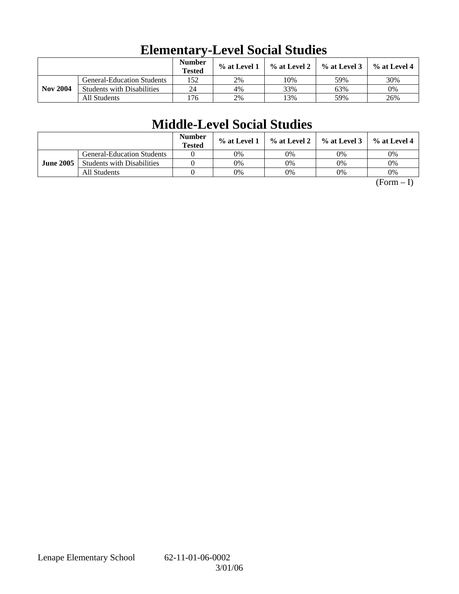|                 |                                   | <b>Number</b><br><b>Tested</b> | % at Level 1 | $\%$ at Level 2 | $%$ at Level 3 | $%$ at Level 4 |
|-----------------|-----------------------------------|--------------------------------|--------------|-----------------|----------------|----------------|
|                 | <b>General-Education Students</b> | 152                            | 2%           | 10%             | 59%            | 30%            |
| <b>Nov 2004</b> | <b>Students with Disabilities</b> | 24                             | 4%           | 33%             | 63%            | 0%             |
|                 | All Students                      | !76                            | 2%           | 3%              | 59%            | 26%            |

# **Elementary-Level Social Studies**

# **Middle-Level Social Studies**

|                  |                                   | <b>Number</b><br><b>Tested</b> | $\%$ at Level 1 |    | $\%$ at Level 2 $\%$ at Level 3 $\parallel$ | % at Level 4 |
|------------------|-----------------------------------|--------------------------------|-----------------|----|---------------------------------------------|--------------|
|                  | <b>General-Education Students</b> |                                | 0%              | 0% | 0%                                          | 0%           |
| <b>June 2005</b> | <b>Students with Disabilities</b> |                                | 0%              | 0% | 0%                                          | 0%           |
|                  | All Students                      |                                | 0%              | 0% | 0%                                          | 0%           |

 $(Form - I)$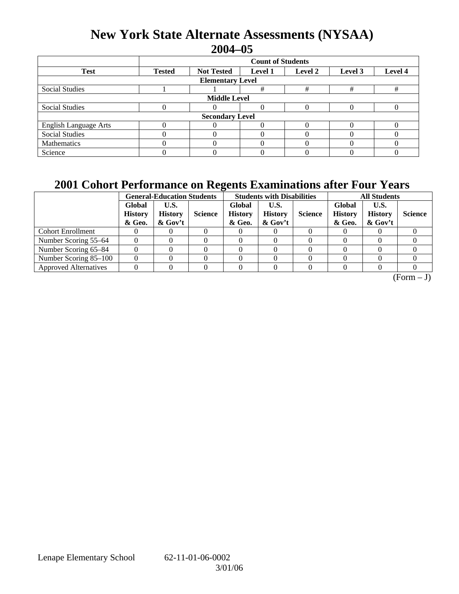# **New York State Alternate Assessments (NYSAA) 2004–05**

|                              | <b>Count of Students</b> |                                                                      |   |   |   |   |  |  |  |
|------------------------------|--------------------------|----------------------------------------------------------------------|---|---|---|---|--|--|--|
| <b>Test</b>                  | <b>Tested</b>            | Level 4<br><b>Not Tested</b><br><b>Level 1</b><br>Level 2<br>Level 3 |   |   |   |   |  |  |  |
| <b>Elementary Level</b>      |                          |                                                                      |   |   |   |   |  |  |  |
| <b>Social Studies</b>        |                          |                                                                      | # | # | # | # |  |  |  |
| <b>Middle Level</b>          |                          |                                                                      |   |   |   |   |  |  |  |
| <b>Social Studies</b>        |                          |                                                                      |   |   |   |   |  |  |  |
| <b>Secondary Level</b>       |                          |                                                                      |   |   |   |   |  |  |  |
| <b>English Language Arts</b> |                          |                                                                      |   |   |   |   |  |  |  |
| <b>Social Studies</b>        |                          |                                                                      |   |   |   |   |  |  |  |
| Mathematics                  |                          |                                                                      |   |   |   |   |  |  |  |
| Science                      |                          |                                                                      |   |   |   |   |  |  |  |

# **2001 Cohort Performance on Regents Examinations after Four Years**

|                              | <b>General-Education Students</b>  |                                     |                | <b>Students with Disabilities</b>  |                                      |                | <b>All Students</b>                |                                      |                |
|------------------------------|------------------------------------|-------------------------------------|----------------|------------------------------------|--------------------------------------|----------------|------------------------------------|--------------------------------------|----------------|
|                              | Global<br><b>History</b><br>& Geo. | U.S.<br><b>History</b><br>$&$ Gov't | <b>Science</b> | Global<br><b>History</b><br>& Geo. | U.S.<br><b>History</b><br>$\&$ Gov't | <b>Science</b> | Global<br><b>History</b><br>& Geo. | U.S.<br><b>History</b><br>$\&$ Gov't | <b>Science</b> |
| <b>Cohort Enrollment</b>     |                                    |                                     |                |                                    |                                      |                |                                    |                                      |                |
| Number Scoring 55–64         |                                    |                                     |                |                                    |                                      |                |                                    |                                      |                |
| Number Scoring 65-84         |                                    |                                     |                |                                    |                                      |                |                                    |                                      |                |
| Number Scoring 85-100        |                                    |                                     |                |                                    |                                      |                |                                    |                                      |                |
| <b>Approved Alternatives</b> |                                    |                                     |                |                                    |                                      |                |                                    |                                      |                |

 $(Form - J)$